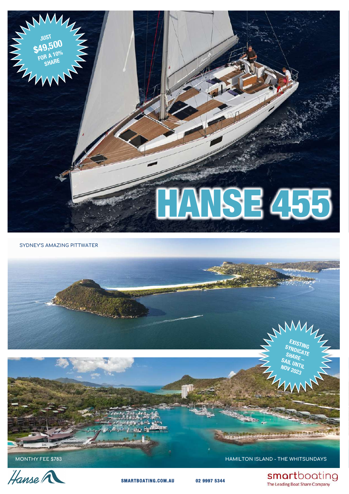

**SYDNEY'S AMAZING PITTWATER**



MONTHY FEE \$783 **HAMILTON ISLAND - THE WHITSUNDAYS** 

smartboating The Leading Boat Share Company



 **SMARTBOATING.COM.AU 02 9997 5344**